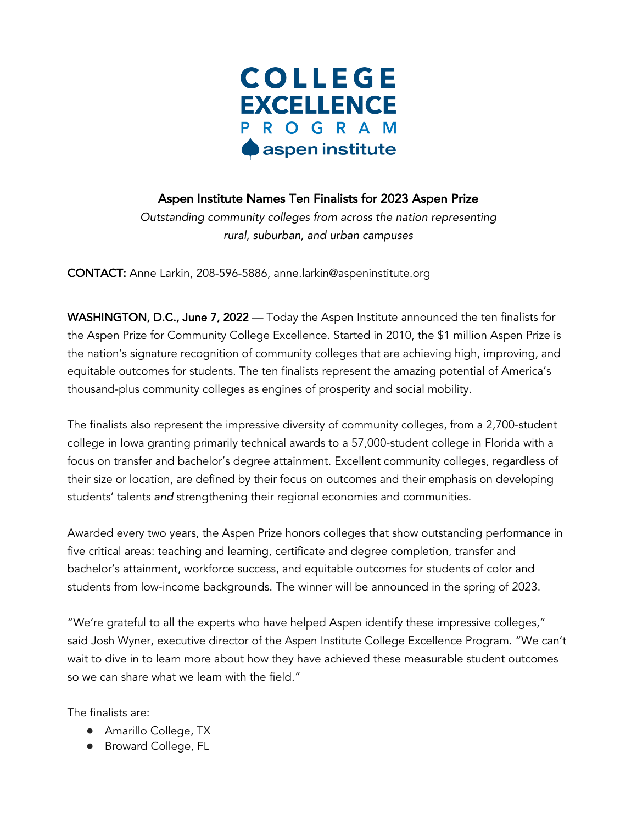

## Aspen Institute Names Ten Finalists for 2023 Aspen Prize

*Outstanding community colleges from across the nation representing rural, suburban, and urban campuses*

CONTACT: Anne Larkin, 208-596-5886, anne.larkin@aspeninstitute.org

WASHINGTON, D.C., June 7, 2022 — Today the Aspen Institute announced the ten finalists for the Aspen Prize for Community College Excellence. Started in 2010, the \$1 million Aspen Prize is the nation's signature recognition of community colleges that are achieving high, improving, and equitable outcomes for students. The ten finalists represent the amazing potential of America's thousand-plus community colleges as engines of prosperity and social mobility.

The finalists also represent the impressive diversity of community colleges, from a 2,700-student college in Iowa granting primarily technical awards to a 57,000-student college in Florida with a focus on transfer and bachelor's degree attainment. Excellent community colleges, regardless of their size or location, are defined by their focus on outcomes and their emphasis on developing students' talents *and* strengthening their regional economies and communities.

Awarded every two years, the Aspen Prize honors colleges that show outstanding performance in five critical areas: teaching and learning, certificate and degree completion, transfer and bachelor's attainment, workforce success, and equitable outcomes for students of color and students from low-income backgrounds. The winner will be announced in the spring of 2023.

"We're grateful to all the experts who have helped Aspen identify these impressive colleges," said Josh Wyner, executive director of the Aspen Institute College Excellence Program. "We can't wait to dive in to learn more about how they have achieved these measurable student outcomes so we can share what we learn with the field."

The finalists are:

- Amarillo College, TX
- Broward College, FL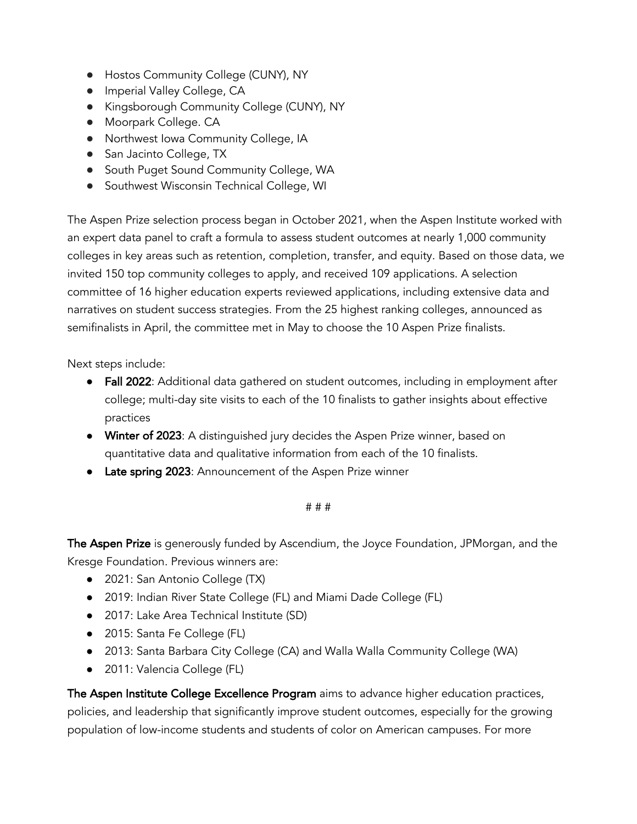- Hostos Community College (CUNY), NY
- Imperial Valley College, CA
- Kingsborough Community College (CUNY), NY
- Moorpark College. CA
- Northwest Iowa Community College, IA
- San Jacinto College, TX
- South Puget Sound Community College, WA
- Southwest Wisconsin Technical College, WI

The Aspen Prize selection process began in October 2021, when the Aspen Institute worked with an expert data panel to craft a formula to assess student outcomes at nearly 1,000 community colleges in key areas such as retention, completion, transfer, and equity. Based on those data, we invited 150 top community colleges to apply, and received 109 applications. A selection committee of 16 higher education experts reviewed applications, including extensive data and narratives on student success strategies. From the 25 highest ranking colleges, announced as semifinalists in April, the committee met in May to choose the 10 Aspen Prize finalists.

Next steps include:

- **Fall 2022:** Additional data gathered on student outcomes, including in employment after college; multi-day site visits to each of the 10 finalists to gather insights about effective practices
- Winter of 2023: A distinguished jury decides the Aspen Prize winner, based on quantitative data and qualitative information from each of the 10 finalists.
- Late spring 2023: Announcement of the Aspen Prize winner

## # # #

The Aspen Prize is generously funded by Ascendium, the Joyce Foundation, JPMorgan, and the Kresge Foundation. Previous winners are:

- 2021: San Antonio College (TX)
- 2019: Indian River State College (FL) and Miami Dade College (FL)
- 2017: Lake Area Technical Institute (SD)
- 2015: Santa Fe College (FL)
- 2013: Santa Barbara City College (CA) and Walla Walla Community College (WA)
- 2011: Valencia College (FL)

The Aspen Institute College Excellence Program aims to advance higher education practices, policies, and leadership that significantly improve student outcomes, especially for the growing population of low-income students and students of color on American campuses. For more